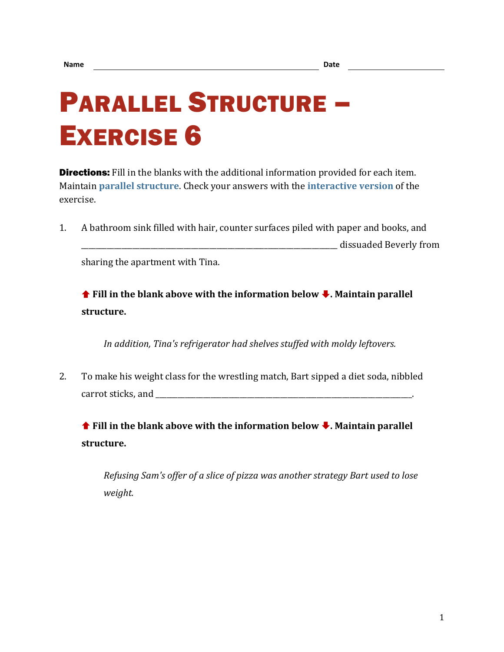## PARALLEL STRUCTURE – EXERCISE 6

**Directions:** Fill in the blanks with the additional information provided for each item. Maintain **[parallel structure](https://chompchomp.com/terms/parallelstructure.htm)**. Check your answers with the **[interactive version](https://chompchomp.com/hotpotatoes/structure06.htm)** of the exercise.

1. A bathroom sink filled with hair, counter surfaces piled with paper and books, and dissuaded Beverly from

sharing the apartment with Tina.

**↑** Fill in the blank above with the information below ↓. Maintain parallel **structure.**

*In addition, Tina's refrigerator had shelves stuffed with moldy leftovers.*

2. To make his weight class for the wrestling match, Bart sipped a diet soda, nibbled carrot sticks, and  $\Box$ 

 **Fill in the blank above with the information below . Maintain parallel structure.**

*Refusing Sam's offer of a slice of pizza was another strategy Bart used to lose weight.*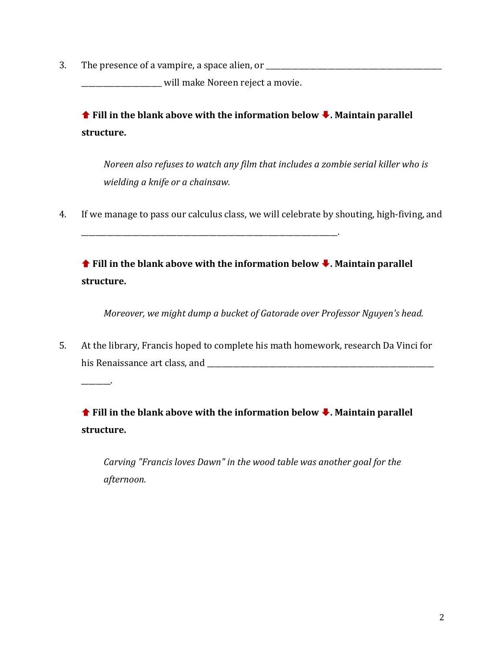3. The presence of a vampire, a space alien, or \_\_\_\_\_\_\_\_\_\_\_\_\_\_\_\_\_\_\_\_\_\_\_\_\_\_\_\_\_\_\_\_

\_\_\_\_\_\_\_\_.

\_\_\_\_\_\_\_\_\_\_\_\_\_\_\_\_\_\_\_\_\_\_ will make Noreen reject a movie.

\_\_\_\_\_\_\_\_\_\_\_\_\_\_\_\_\_\_\_\_\_\_\_\_\_\_\_\_\_\_\_\_\_\_\_\_\_\_\_\_\_\_\_\_\_\_\_\_\_\_\_\_\_\_\_\_\_\_\_\_\_\_\_\_\_\_\_\_\_\_.

 **Fill in the blank above with the information below . Maintain parallel structure.**

*Noreen also refuses to watch any film that includes a zombie serial killer who is wielding a knife or a chainsaw.*

4. If we manage to pass our calculus class, we will celebrate by shouting, high-fiving, and

 **Fill in the blank above with the information below . Maintain parallel structure.**

*Moreover, we might dump a bucket of Gatorade over Professor Nguyen's head.*

5. At the library, Francis hoped to complete his math homework, research Da Vinci for his Renaissance art class, and \_\_\_\_\_\_\_\_\_\_\_\_\_\_\_\_\_\_\_\_\_\_\_\_\_\_\_\_\_\_\_\_\_\_\_\_\_\_\_\_\_\_\_\_\_\_\_\_\_\_\_\_\_\_\_\_\_\_\_\_\_\_

 **Fill in the blank above with the information below . Maintain parallel structure.**

*Carving "Francis loves Dawn" in the wood table was another goal for the afternoon.*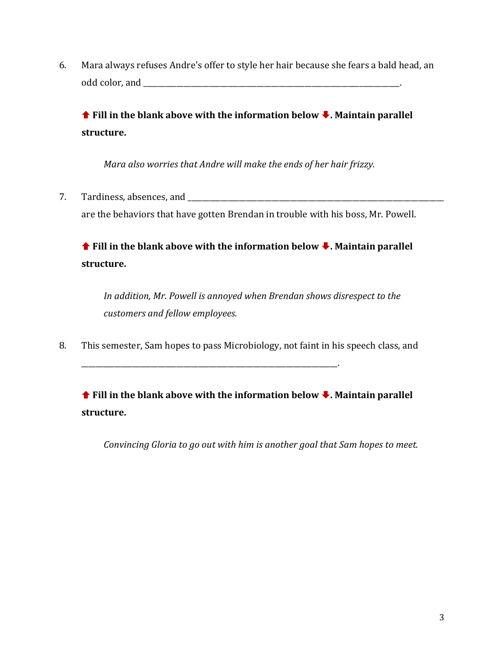6. Mara always refuses Andre's offer to style her hair because she fears a bald head, an odd color, and  $\Box$ 

**↑** Fill in the blank above with the information below ↓. Maintain parallel **structure.**

*Mara also worries that Andre will make the ends of her hair frizzy.*

7. Tardiness, absences, and \_\_\_\_\_\_\_\_\_\_\_\_\_\_\_\_\_\_\_\_\_\_\_\_\_\_\_\_\_\_\_\_\_\_\_\_\_\_\_\_\_\_\_\_\_\_\_\_\_\_\_\_\_\_\_\_\_\_\_\_\_\_\_\_\_\_\_\_\_\_ are the behaviors that have gotten Brendan in trouble with his boss, Mr. Powell.

**↑** Fill in the blank above with the information below ↓. Maintain parallel **structure.**

*In addition, Mr. Powell is annoyed when Brendan shows disrespect to the customers and fellow employees.*

8. This semester, Sam hopes to pass Microbiology, not faint in his speech class, and

\_\_\_\_\_\_\_\_\_\_\_\_\_\_\_\_\_\_\_\_\_\_\_\_\_\_\_\_\_\_\_\_\_\_\_\_\_\_\_\_\_\_\_\_\_\_\_\_\_\_\_\_\_\_\_\_\_\_\_\_\_\_\_\_\_\_\_\_\_\_.

**↑** Fill in the blank above with the information below ↓. Maintain parallel **structure.**

*Convincing Gloria to go out with him is another goal that Sam hopes to meet.*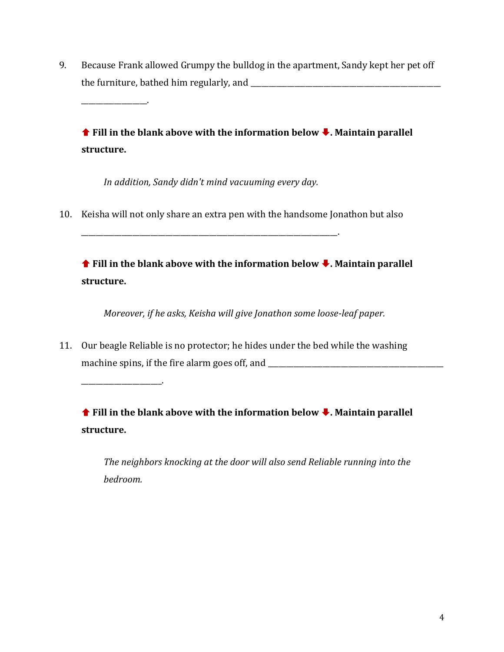9. Because Frank allowed Grumpy the bulldog in the apartment, Sandy kept her pet off the furniture, bathed him regularly, and

**↑** Fill in the blank above with the information below ↓. Maintain parallel **structure.**

*In addition, Sandy didn't mind vacuuming every day.*

\_\_\_\_\_\_\_\_\_\_\_\_\_\_\_\_\_\_\_\_\_\_\_\_\_\_\_\_\_\_\_\_\_\_\_\_\_\_\_\_\_\_\_\_\_\_\_\_\_\_\_\_\_\_\_\_\_\_\_\_\_\_\_\_\_\_\_\_\_\_.

10. Keisha will not only share an extra pen with the handsome Jonathon but also

**↑** Fill in the blank above with the information below ↓. Maintain parallel **structure.**

*Moreover, if he asks, Keisha will give Jonathon some loose-leaf paper.*

11. Our beagle Reliable is no protector; he hides under the bed while the washing machine spins, if the fire alarm goes off, and

\_\_\_\_\_\_\_\_\_\_\_\_\_\_\_\_\_\_\_\_\_\_.

\_\_\_\_\_\_\_\_\_\_\_\_\_\_\_\_\_\_.

 **Fill in the blank above with the information below . Maintain parallel structure.**

*The neighbors knocking at the door will also send Reliable running into the bedroom.*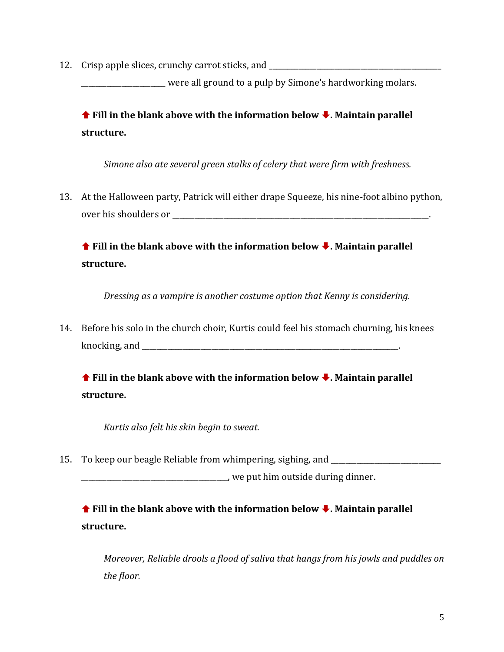12. Crisp apple slices, crunchy carrot sticks, and \_\_\_\_\_\_\_\_\_\_\_\_\_\_\_\_\_\_\_\_\_\_\_\_\_\_\_\_\_

were all ground to a pulp by Simone's hardworking molars.

**↑** Fill in the blank above with the information below ↓. Maintain parallel **structure.**

*Simone also ate several green stalks of celery that were firm with freshness.* 

13. At the Halloween party, Patrick will either drape Squeeze, his nine-foot albino python, over his shoulders or **with a strategies of a strategies** 

**↑** Fill in the blank above with the information below ↓. Maintain parallel **structure.**

*Dressing as a vampire is another costume option that Kenny is considering.*

14. Before his solo in the church choir, Kurtis could feel his stomach churning, his knees knocking, and \_\_\_\_\_\_\_\_\_\_\_\_\_\_\_\_\_\_\_\_\_\_\_\_\_\_\_\_\_\_\_\_\_\_\_\_\_\_\_\_\_\_\_\_\_\_\_\_\_\_\_\_\_\_\_\_\_\_\_\_\_\_\_\_\_\_\_\_\_\_.

**↑** Fill in the blank above with the information below ↓. Maintain parallel **structure.**

*Kurtis also felt his skin begin to sweat.*

15. To keep our beagle Reliable from whimpering, sighing, and \_\_\_\_\_\_\_\_\_\_\_\_\_\_\_\_\_\_\_\_\_\_\_\_\_\_\_\_\_\_

\_\_\_\_\_\_\_\_\_\_\_\_\_\_\_\_\_\_\_\_\_\_\_\_\_\_\_\_\_\_\_\_\_\_\_\_\_\_\_\_, we put him outside during dinner.

**↑** Fill in the blank above with the information below ↓. Maintain parallel **structure.**

*Moreover, Reliable drools a flood of saliva that hangs from his jowls and puddles on the floor.*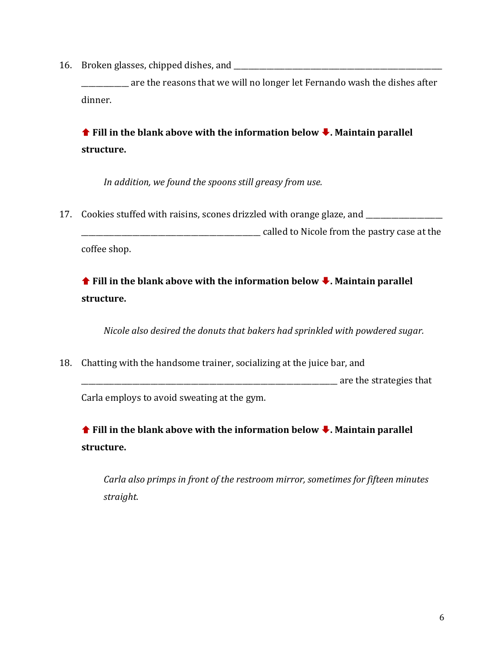16. Broken glasses, chipped dishes, and \_\_\_\_\_\_\_\_\_\_\_\_\_\_\_\_\_\_\_\_\_\_\_\_\_\_\_\_\_\_\_\_\_\_\_\_\_\_\_\_\_\_\_\_\_\_\_\_\_\_\_\_\_\_\_\_\_

are the reasons that we will no longer let Fernando wash the dishes after dinner.

**↑** Fill in the blank above with the information below ↓. Maintain parallel **structure.**

*In addition, we found the spoons still greasy from use.*

17. Cookies stuffed with raisins, scones drizzled with orange glaze, and \_\_\_\_\_\_\_\_

\_\_\_\_\_\_\_\_\_\_\_\_\_\_\_\_\_\_\_\_\_\_\_\_\_\_\_\_\_\_\_\_\_\_\_\_\_\_\_\_\_\_\_\_\_\_\_\_\_ called to Nicole from the pastry case at the coffee shop.

**↑** Fill in the blank above with the information below ↓. Maintain parallel **structure.**

*Nicole also desired the donuts that bakers had sprinkled with powdered sugar.*

18. Chatting with the handsome trainer, socializing at the juice bar, and \_\_\_\_\_\_\_\_\_\_\_\_\_\_\_\_\_\_\_\_\_\_\_\_\_\_\_\_\_\_\_\_\_\_\_\_\_\_\_\_\_\_\_\_\_\_\_\_\_\_\_\_\_\_\_\_\_\_\_\_\_\_\_\_\_\_\_\_\_\_ are the strategies that Carla employs to avoid sweating at the gym.

**↑** Fill in the blank above with the information below ↓. Maintain parallel **structure.**

*Carla also primps in front of the restroom mirror, sometimes for fifteen minutes straight.*